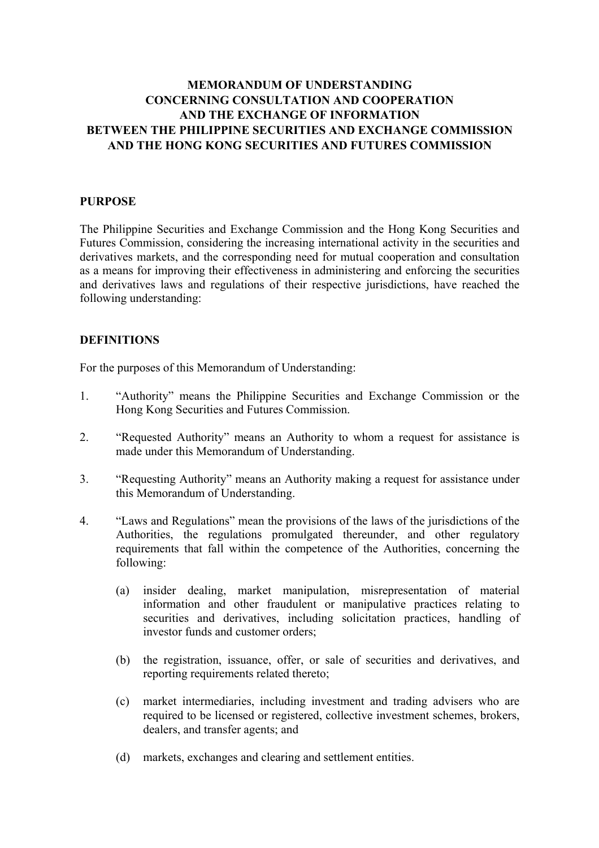# **MEMORANDUM OF UNDERSTANDING CONCERNING CONSULTATION AND COOPERATION AND THE EXCHANGE OF INFORMATION BETWEEN THE PHILIPPINE SECURITIES AND EXCHANGE COMMISSION AND THE HONG KONG SECURITIES AND FUTURES COMMISSION**

### **PURPOSE**

The Philippine Securities and Exchange Commission and the Hong Kong Securities and Futures Commission, considering the increasing international activity in the securities and derivatives markets, and the corresponding need for mutual cooperation and consultation as a means for improving their effectiveness in administering and enforcing the securities and derivatives laws and regulations of their respective jurisdictions, have reached the following understanding:

### **DEFINITIONS**

For the purposes of this Memorandum of Understanding:

- 1. "Authority" means the Philippine Securities and Exchange Commission or the Hong Kong Securities and Futures Commission.
- 2. "Requested Authority" means an Authority to whom a request for assistance is made under this Memorandum of Understanding.
- 3. "Requesting Authority" means an Authority making a request for assistance under this Memorandum of Understanding.
- 4. "Laws and Regulations" mean the provisions of the laws of the jurisdictions of the Authorities, the regulations promulgated thereunder, and other regulatory requirements that fall within the competence of the Authorities, concerning the following:
	- (a) insider dealing, market manipulation, misrepresentation of material information and other fraudulent or manipulative practices relating to securities and derivatives, including solicitation practices, handling of investor funds and customer orders;
	- (b) the registration, issuance, offer, or sale of securities and derivatives, and reporting requirements related thereto;
	- (c) market intermediaries, including investment and trading advisers who are required to be licensed or registered, collective investment schemes, brokers, dealers, and transfer agents; and
	- (d) markets, exchanges and clearing and settlement entities.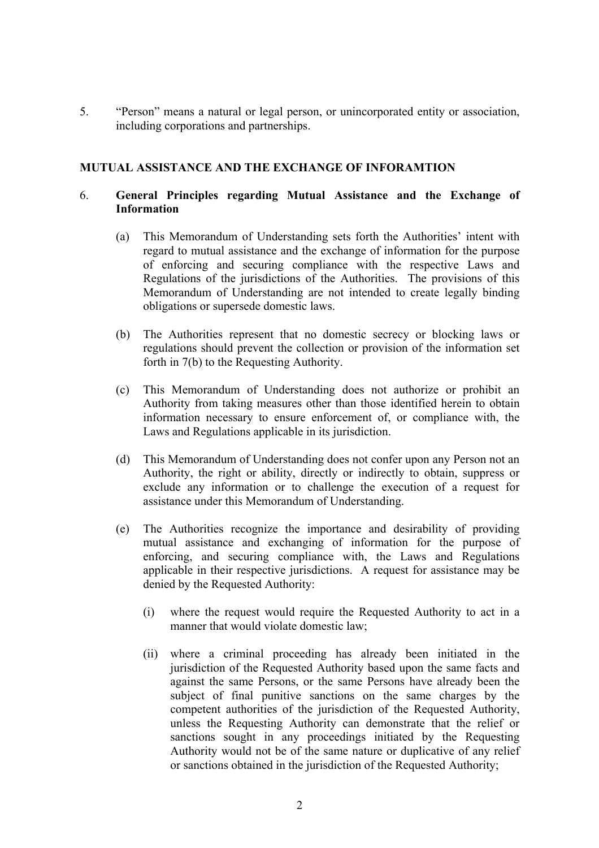5. "Person" means a natural or legal person, or unincorporated entity or association, including corporations and partnerships.

#### **MUTUAL ASSISTANCE AND THE EXCHANGE OF INFORAMTION**

### 6. **General Principles regarding Mutual Assistance and the Exchange of Information**

- (a) This Memorandum of Understanding sets forth the Authorities' intent with regard to mutual assistance and the exchange of information for the purpose of enforcing and securing compliance with the respective Laws and Regulations of the jurisdictions of the Authorities. The provisions of this Memorandum of Understanding are not intended to create legally binding obligations or supersede domestic laws.
- (b) The Authorities represent that no domestic secrecy or blocking laws or regulations should prevent the collection or provision of the information set forth in 7(b) to the Requesting Authority.
- (c) This Memorandum of Understanding does not authorize or prohibit an Authority from taking measures other than those identified herein to obtain information necessary to ensure enforcement of, or compliance with, the Laws and Regulations applicable in its jurisdiction.
- (d) This Memorandum of Understanding does not confer upon any Person not an Authority, the right or ability, directly or indirectly to obtain, suppress or exclude any information or to challenge the execution of a request for assistance under this Memorandum of Understanding.
- (e) The Authorities recognize the importance and desirability of providing mutual assistance and exchanging of information for the purpose of enforcing, and securing compliance with, the Laws and Regulations applicable in their respective jurisdictions. A request for assistance may be denied by the Requested Authority:
	- (i) where the request would require the Requested Authority to act in a manner that would violate domestic law;
	- (ii) where a criminal proceeding has already been initiated in the jurisdiction of the Requested Authority based upon the same facts and against the same Persons, or the same Persons have already been the subject of final punitive sanctions on the same charges by the competent authorities of the jurisdiction of the Requested Authority, unless the Requesting Authority can demonstrate that the relief or sanctions sought in any proceedings initiated by the Requesting Authority would not be of the same nature or duplicative of any relief or sanctions obtained in the jurisdiction of the Requested Authority;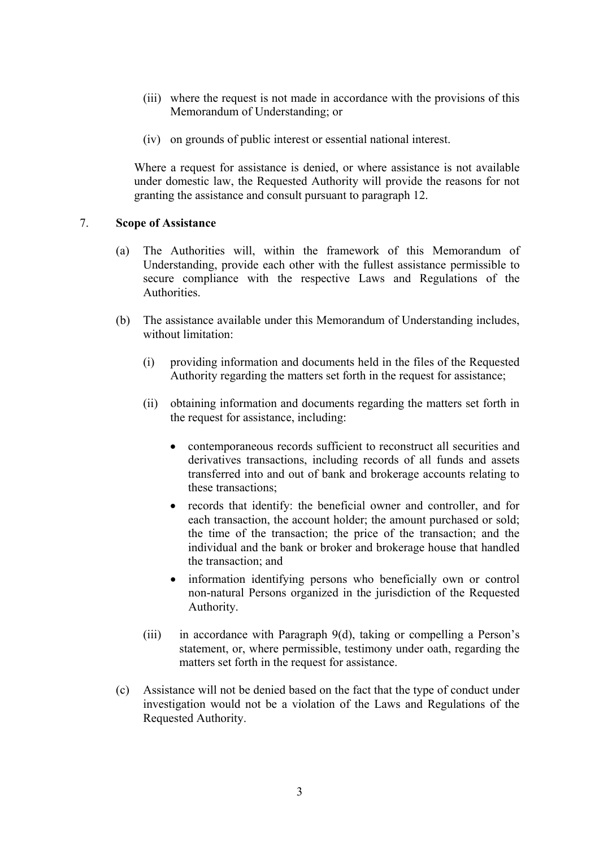- (iii) where the request is not made in accordance with the provisions of this Memorandum of Understanding; or
- (iv) on grounds of public interest or essential national interest.

Where a request for assistance is denied, or where assistance is not available under domestic law, the Requested Authority will provide the reasons for not granting the assistance and consult pursuant to paragraph 12.

### 7. **Scope of Assistance**

- (a) The Authorities will, within the framework of this Memorandum of Understanding, provide each other with the fullest assistance permissible to secure compliance with the respective Laws and Regulations of the Authorities.
- (b) The assistance available under this Memorandum of Understanding includes, without limitation:
	- (i) providing information and documents held in the files of the Requested Authority regarding the matters set forth in the request for assistance;
	- (ii) obtaining information and documents regarding the matters set forth in the request for assistance, including:
		- contemporaneous records sufficient to reconstruct all securities and derivatives transactions, including records of all funds and assets transferred into and out of bank and brokerage accounts relating to these transactions;
		- records that identify: the beneficial owner and controller, and for each transaction, the account holder; the amount purchased or sold; the time of the transaction; the price of the transaction; and the individual and the bank or broker and brokerage house that handled the transaction; and
		- information identifying persons who beneficially own or control non-natural Persons organized in the jurisdiction of the Requested Authority.
	- (iii) in accordance with Paragraph 9(d), taking or compelling a Person's statement, or, where permissible, testimony under oath, regarding the matters set forth in the request for assistance.
- (c) Assistance will not be denied based on the fact that the type of conduct under investigation would not be a violation of the Laws and Regulations of the Requested Authority.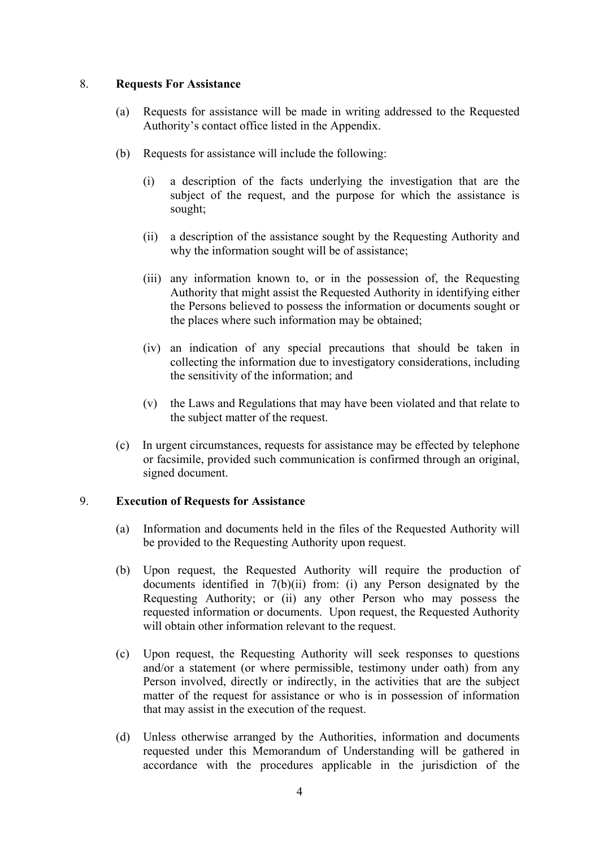### 8. **Requests For Assistance**

- (a) Requests for assistance will be made in writing addressed to the Requested Authority's contact office listed in the Appendix.
- (b) Requests for assistance will include the following:
	- (i) a description of the facts underlying the investigation that are the subject of the request, and the purpose for which the assistance is sought;
	- (ii) a description of the assistance sought by the Requesting Authority and why the information sought will be of assistance:
	- (iii) any information known to, or in the possession of, the Requesting Authority that might assist the Requested Authority in identifying either the Persons believed to possess the information or documents sought or the places where such information may be obtained;
	- (iv) an indication of any special precautions that should be taken in collecting the information due to investigatory considerations, including the sensitivity of the information; and
	- (v) the Laws and Regulations that may have been violated and that relate to the subject matter of the request.
- (c) In urgent circumstances, requests for assistance may be effected by telephone or facsimile, provided such communication is confirmed through an original, signed document.

## 9. **Execution of Requests for Assistance**

- (a) Information and documents held in the files of the Requested Authority will be provided to the Requesting Authority upon request.
- (b) Upon request, the Requested Authority will require the production of documents identified in 7(b)(ii) from: (i) any Person designated by the Requesting Authority; or (ii) any other Person who may possess the requested information or documents. Upon request, the Requested Authority will obtain other information relevant to the request.
- (c) Upon request, the Requesting Authority will seek responses to questions and/or a statement (or where permissible, testimony under oath) from any Person involved, directly or indirectly, in the activities that are the subject matter of the request for assistance or who is in possession of information that may assist in the execution of the request.
- (d) Unless otherwise arranged by the Authorities, information and documents requested under this Memorandum of Understanding will be gathered in accordance with the procedures applicable in the jurisdiction of the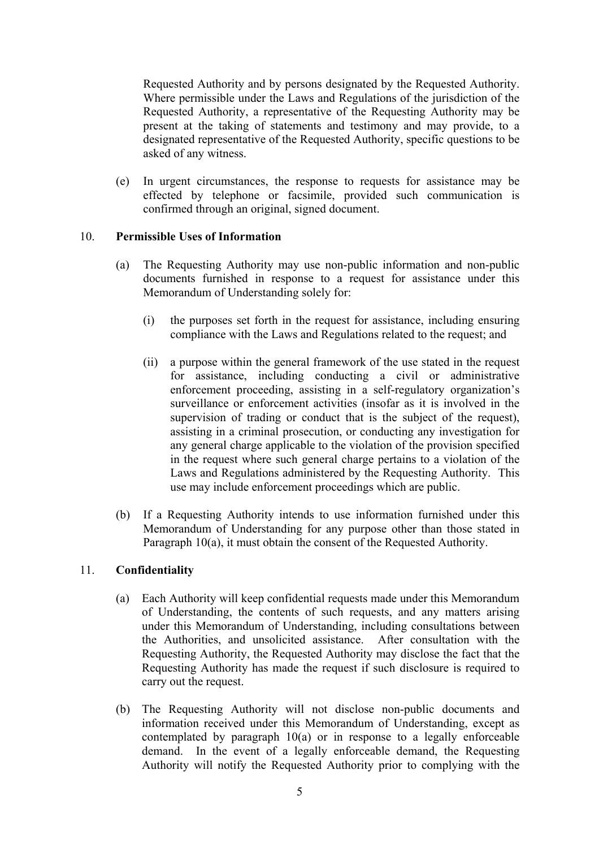Requested Authority and by persons designated by the Requested Authority. Where permissible under the Laws and Regulations of the jurisdiction of the Requested Authority, a representative of the Requesting Authority may be present at the taking of statements and testimony and may provide, to a designated representative of the Requested Authority, specific questions to be asked of any witness.

(e) In urgent circumstances, the response to requests for assistance may be effected by telephone or facsimile, provided such communication is confirmed through an original, signed document.

### 10. **Permissible Uses of Information**

- (a) The Requesting Authority may use non-public information and non-public documents furnished in response to a request for assistance under this Memorandum of Understanding solely for:
	- (i) the purposes set forth in the request for assistance, including ensuring compliance with the Laws and Regulations related to the request; and
	- (ii) a purpose within the general framework of the use stated in the request for assistance, including conducting a civil or administrative enforcement proceeding, assisting in a self-regulatory organization's surveillance or enforcement activities (insofar as it is involved in the supervision of trading or conduct that is the subject of the request), assisting in a criminal prosecution, or conducting any investigation for any general charge applicable to the violation of the provision specified in the request where such general charge pertains to a violation of the Laws and Regulations administered by the Requesting Authority. This use may include enforcement proceedings which are public.
- (b) If a Requesting Authority intends to use information furnished under this Memorandum of Understanding for any purpose other than those stated in Paragraph 10(a), it must obtain the consent of the Requested Authority.

## 11. **Confidentiality**

- (a) Each Authority will keep confidential requests made under this Memorandum of Understanding, the contents of such requests, and any matters arising under this Memorandum of Understanding, including consultations between the Authorities, and unsolicited assistance. After consultation with the Requesting Authority, the Requested Authority may disclose the fact that the Requesting Authority has made the request if such disclosure is required to carry out the request.
- (b) The Requesting Authority will not disclose non-public documents and information received under this Memorandum of Understanding, except as contemplated by paragraph 10(a) or in response to a legally enforceable demand. In the event of a legally enforceable demand, the Requesting Authority will notify the Requested Authority prior to complying with the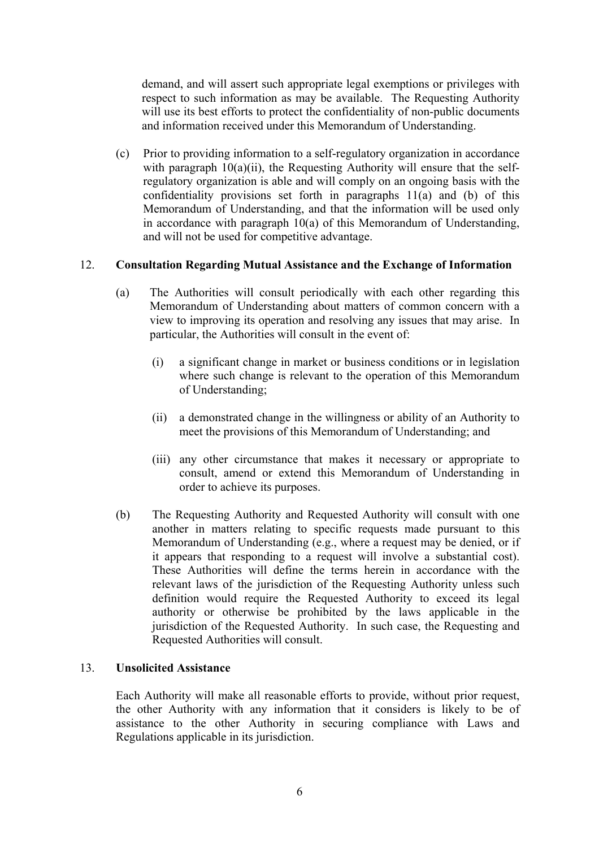demand, and will assert such appropriate legal exemptions or privileges with respect to such information as may be available. The Requesting Authority will use its best efforts to protect the confidentiality of non-public documents and information received under this Memorandum of Understanding.

(c) Prior to providing information to a self-regulatory organization in accordance with paragraph  $10(a)(ii)$ , the Requesting Authority will ensure that the selfregulatory organization is able and will comply on an ongoing basis with the confidentiality provisions set forth in paragraphs 11(a) and (b) of this Memorandum of Understanding, and that the information will be used only in accordance with paragraph 10(a) of this Memorandum of Understanding, and will not be used for competitive advantage.

### 12. **Consultation Regarding Mutual Assistance and the Exchange of Information**

- (a) The Authorities will consult periodically with each other regarding this Memorandum of Understanding about matters of common concern with a view to improving its operation and resolving any issues that may arise. In particular, the Authorities will consult in the event of:
	- (i) a significant change in market or business conditions or in legislation where such change is relevant to the operation of this Memorandum of Understanding;
	- (ii) a demonstrated change in the willingness or ability of an Authority to meet the provisions of this Memorandum of Understanding; and
	- (iii) any other circumstance that makes it necessary or appropriate to consult, amend or extend this Memorandum of Understanding in order to achieve its purposes.
- (b) The Requesting Authority and Requested Authority will consult with one another in matters relating to specific requests made pursuant to this Memorandum of Understanding (e.g., where a request may be denied, or if it appears that responding to a request will involve a substantial cost). These Authorities will define the terms herein in accordance with the relevant laws of the jurisdiction of the Requesting Authority unless such definition would require the Requested Authority to exceed its legal authority or otherwise be prohibited by the laws applicable in the jurisdiction of the Requested Authority. In such case, the Requesting and Requested Authorities will consult.

## 13. **Unsolicited Assistance**

Each Authority will make all reasonable efforts to provide, without prior request, the other Authority with any information that it considers is likely to be of assistance to the other Authority in securing compliance with Laws and Regulations applicable in its jurisdiction.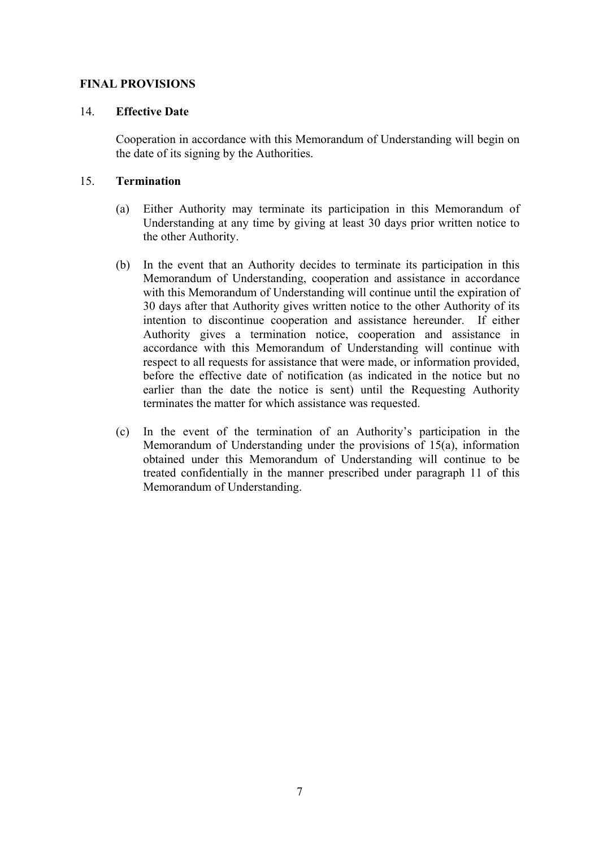### **FINAL PROVISIONS**

#### 14. **Effective Date**

 Cooperation in accordance with this Memorandum of Understanding will begin on the date of its signing by the Authorities.

#### 15. **Termination**

- (a) Either Authority may terminate its participation in this Memorandum of Understanding at any time by giving at least 30 days prior written notice to the other Authority.
- (b) In the event that an Authority decides to terminate its participation in this Memorandum of Understanding, cooperation and assistance in accordance with this Memorandum of Understanding will continue until the expiration of 30 days after that Authority gives written notice to the other Authority of its intention to discontinue cooperation and assistance hereunder. If either Authority gives a termination notice, cooperation and assistance in accordance with this Memorandum of Understanding will continue with respect to all requests for assistance that were made, or information provided, before the effective date of notification (as indicated in the notice but no earlier than the date the notice is sent) until the Requesting Authority terminates the matter for which assistance was requested.
- (c) In the event of the termination of an Authority's participation in the Memorandum of Understanding under the provisions of 15(a), information obtained under this Memorandum of Understanding will continue to be treated confidentially in the manner prescribed under paragraph 11 of this Memorandum of Understanding.